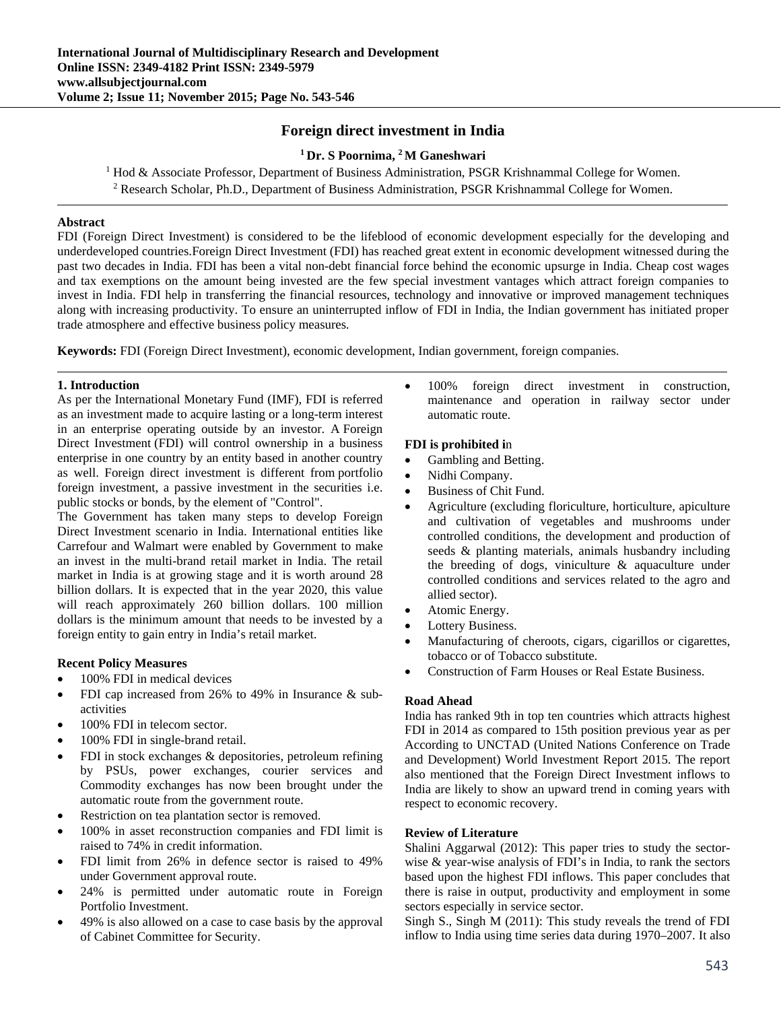# **Foreign direct investment in India**

# **1 Dr. S Poornima, 2 M Ganeshwari**

<sup>1</sup> Hod & Associate Professor, Department of Business Administration, PSGR Krishnammal College for Women. <sup>2</sup> Research Scholar, Ph.D., Department of Business Administration, PSGR Krishnammal College for Women.

## **Abstract**

FDI (Foreign Direct Investment) is considered to be the lifeblood of economic development especially for the developing and underdeveloped countries.Foreign Direct Investment (FDI) has reached great extent in economic development witnessed during the past two decades in India. FDI has been a vital non-debt financial force behind the economic upsurge in India. Cheap cost wages and tax exemptions on the amount being invested are the few special investment vantages which attract foreign companies to invest in India. FDI help in transferring the financial resources, technology and innovative or improved management techniques along with increasing productivity. To ensure an uninterrupted inflow of FDI in India, the Indian government has initiated proper trade atmosphere and effective business policy measures*.*

**Keywords:** FDI (Foreign Direct Investment), economic development, Indian government, foreign companies.

#### **1. Introduction**

As per the International Monetary Fund (IMF), FDI is referred as an investment made to acquire lasting or a long-term interest in an enterprise operating outside by an investor. A Foreign Direct Investment (FDI) will control ownership in a business enterprise in one country by an entity based in another country as well. Foreign direct investment is different from portfolio foreign investment, a passive investment in the securities i.e. public stocks or bonds, by the element of "Control".

The Government has taken many steps to develop Foreign Direct Investment scenario in India. International entities like Carrefour and Walmart were enabled by Government to make an invest in the multi-brand retail market in India. The retail market in India is at growing stage and it is worth around 28 billion dollars. It is expected that in the year 2020, this value will reach approximately 260 billion dollars. 100 million dollars is the minimum amount that needs to be invested by a foreign entity to gain entry in India's retail market.

# **Recent Policy Measures**

- 100% FDI in medical devices
- FDI cap increased from 26% to 49% in Insurance & subactivities
- 100% FDI in telecom sector.
- 100% FDI in single-brand retail.
- FDI in stock exchanges & depositories, petroleum refining by PSUs, power exchanges, courier services and Commodity exchanges has now been brought under the automatic route from the government route.
- Restriction on tea plantation sector is removed.
- 100% in asset reconstruction companies and FDI limit is raised to 74% in credit information.
- FDI limit from 26% in defence sector is raised to 49% under Government approval route.
- 24% is permitted under automatic route in Foreign Portfolio Investment.
- 49% is also allowed on a case to case basis by the approval of Cabinet Committee for Security.

• 100% foreign direct investment in construction, maintenance and operation in railway sector under automatic route.

#### **FDI is prohibited i**n

- Gambling and Betting.
- Nidhi Company.
- Business of Chit Fund.
- Agriculture (excluding floriculture, horticulture, apiculture and cultivation of vegetables and mushrooms under controlled conditions, the development and production of seeds & planting materials, animals husbandry including the breeding of dogs, viniculture & aquaculture under controlled conditions and services related to the agro and allied sector).
- Atomic Energy.
- Lottery Business.
- Manufacturing of cheroots, cigars, cigarillos or cigarettes, tobacco or of Tobacco substitute.
- Construction of Farm Houses or Real Estate Business.

# **Road Ahead**

India has ranked 9th in top ten countries which attracts highest FDI in 2014 as compared to 15th position previous year as per According to UNCTAD (United Nations Conference on Trade and Development) World Investment Report 2015. The report also mentioned that the Foreign Direct Investment inflows to India are likely to show an upward trend in coming years with respect to economic recovery.

#### **Review of Literature**

Shalini Aggarwal (2012): This paper tries to study the sectorwise & year-wise analysis of FDI's in India, to rank the sectors based upon the highest FDI inflows. This paper concludes that there is raise in output, productivity and employment in some sectors especially in service sector.

Singh S., Singh M (2011): This study reveals the trend of FDI inflow to India using time series data during 1970–2007. It also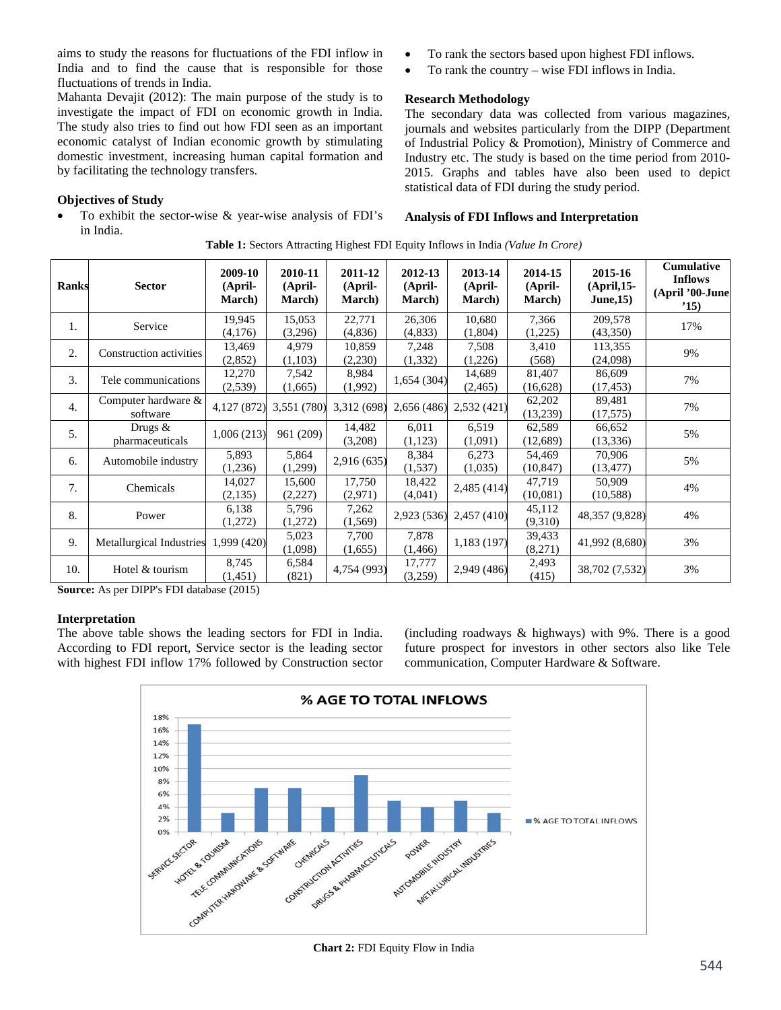aims to study the reasons for fluctuations of the FDI inflow in India and to find the cause that is responsible for those fluctuations of trends in India.

Mahanta Devajit (2012): The main purpose of the study is to investigate the impact of FDI on economic growth in India. The study also tries to find out how FDI seen as an important economic catalyst of Indian economic growth by stimulating domestic investment, increasing human capital formation and by facilitating the technology transfers.

# **Objectives of Study**

 To exhibit the sector-wise & year-wise analysis of FDI's in India.

- To rank the sectors based upon highest FDI inflows.
- To rank the country wise FDI inflows in India.

#### **Research Methodology**

The secondary data was collected from various magazines, journals and websites particularly from the DIPP (Department of Industrial Policy & Promotion), Ministry of Commerce and Industry etc. The study is based on the time period from 2010- 2015. Graphs and tables have also been used to depict statistical data of FDI during the study period.

#### **Analysis of FDI Inflows and Interpretation**

| <b>Ranks</b>     | <b>Sector</b>                   | 2009-10<br>(April-<br><b>March</b> ) | 2010-11<br>(April-<br><b>March</b> ) | 2011-12<br>(April-<br><b>March</b> ) | 2012-13<br>(April-<br><b>March</b> ) | 2013-14<br>(April-<br><b>March</b> ) | 2014-15<br>(April-<br><b>March</b> ) | 2015-16<br>$(April, 15-$<br><b>June, 15)</b> | <b>Cumulative</b><br><b>Inflows</b><br>(April '00-June<br>'15) |
|------------------|---------------------------------|--------------------------------------|--------------------------------------|--------------------------------------|--------------------------------------|--------------------------------------|--------------------------------------|----------------------------------------------|----------------------------------------------------------------|
| 1.               | Service                         | 19,945<br>(4,176)                    | 15,053<br>(3,296)                    | 22,771<br>(4,836)                    | 26,306<br>(4,833)                    | 10,680<br>(1,804)                    | 7,366<br>(1,225)                     | 209,578<br>(43,350)                          | 17%                                                            |
| 2.               | Construction activities         | 13,469<br>(2,852)                    | 4,979<br>(1,103)                     | 10,859<br>(2,230)                    | 7,248<br>(1, 332)                    | 7,508<br>(1,226)                     | 3,410<br>(568)                       | 113,355<br>(24,098)                          | 9%                                                             |
| 3.               | Tele communications             | 12,270<br>(2,539)                    | 7,542<br>(1,665)                     | 8,984<br>(1,992)                     | 1,654 (304)                          | 14,689<br>(2, 465)                   | 81,407<br>(16, 628)                  | 86,609<br>(17, 453)                          | 7%                                                             |
| $\overline{4}$ . | Computer hardware &<br>software | 4,127 (872)                          | 3,551 (780)                          | 3,312 (698)                          | 2,656 (486)                          | 2,532 (421)                          | 62,202<br>(13,239)                   | 89,481<br>(17,575)                           | 7%                                                             |
| 5.               | Drugs $&$<br>pharmaceuticals    | 1,006(213)                           | 961 (209)                            | 14,482<br>(3,208)                    | 6,011<br>(1,123)                     | 6,519<br>(1,091)                     | 62,589<br>(12,689)                   | 66,652<br>(13, 336)                          | 5%                                                             |
| 6.               | Automobile industry             | 5,893<br>(1,236)                     | 5,864<br>(1,299)                     | 2,916 (635)                          | 8,384<br>(1,537)                     | 6,273<br>(1,035)                     | 54,469<br>(10, 847)                  | 70,906<br>(13, 477)                          | 5%                                                             |
| 7.               | Chemicals                       | 14,027<br>(2,135)                    | 15,600<br>(2,227)                    | 17,750<br>(2,971)                    | 18,422<br>(4,041)                    | 2,485 (414)                          | 47,719<br>(10,081)                   | 50,909<br>(10, 588)                          | 4%                                                             |
| 8.               | Power                           | 6,138<br>(1,272)                     | 5,796<br>(1,272)                     | 7,262<br>(1, 569)                    | 2,923 (536)                          | 2,457 (410)                          | 45,112<br>(9,310)                    | 48,357 (9,828)                               | 4%                                                             |
| 9.               | Metallurgical Industries        | 1,999 (420)                          | 5,023<br>(1,098)                     | 7,700<br>(1,655)                     | 7,878<br>(1, 466)                    | 1,183 (197)                          | 39,433<br>(8,271)                    | 41,992 (8,680)                               | 3%                                                             |
| 10.              | Hotel & tourism                 | 8,745<br>(1,451)                     | 6,584<br>(821)                       | 4,754 (993)                          | 17,777<br>(3,259)                    | 2,949 (486)                          | 2,493<br>(415)                       | 38,702 (7,532)                               | 3%                                                             |

**Table 1:** Sectors Attracting Highest FDI Equity Inflows in India *(Value In Crore)*

**Source:** As per DIPP's FDI database (2015)

#### **Interpretation**

The above table shows the leading sectors for FDI in India. According to FDI report, Service sector is the leading sector with highest FDI inflow 17% followed by Construction sector (including roadways & highways) with 9%. There is a good future prospect for investors in other sectors also like Tele communication, Computer Hardware & Software.



**Chart 2:** FDI Equity Flow in India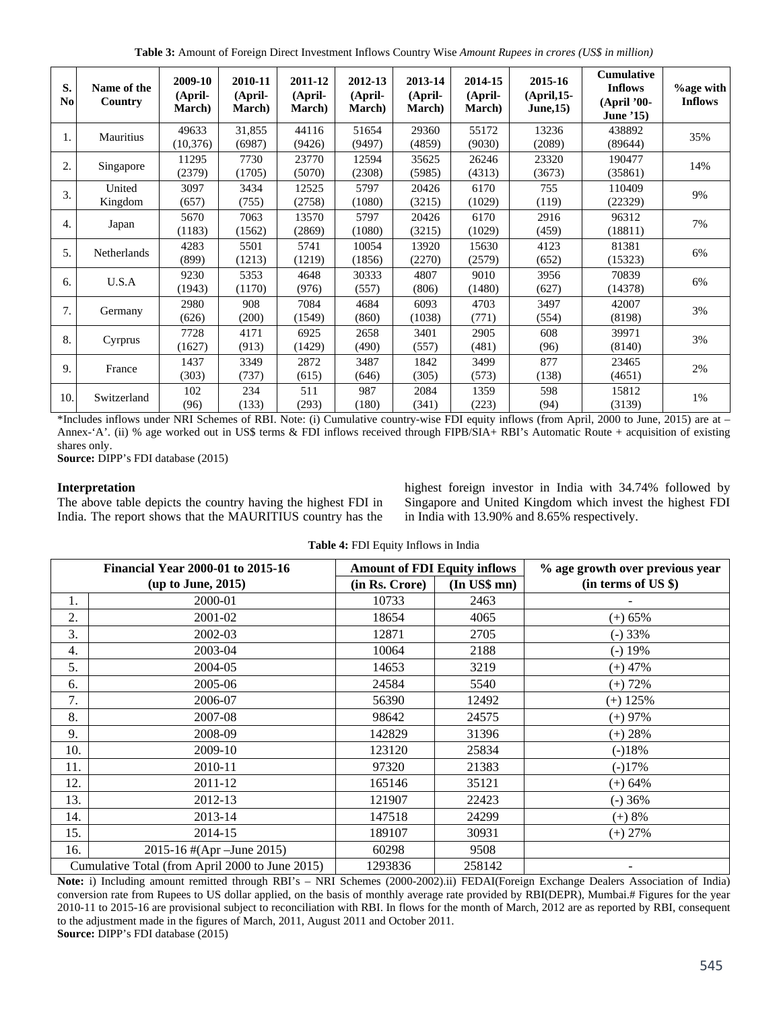**Table 3:** Amount of Foreign Direct Investment Inflows Country Wise *Amount Rupees in crores (US\$ in million)* 

| S.<br>N <sub>0</sub> | Name of the<br>Country | 2009-10<br>(April-<br><b>March</b> ) | 2010-11<br>(April-<br><b>March</b> ) | 2011-12<br>(April-<br><b>March</b> ) | 2012-13<br>(April-<br><b>March</b> ) | 2013-14<br>(April-<br><b>March</b> ) | 2014-15<br>(April-<br>March) | 2015-16<br>$(April, 15-$<br>June, 15) | <b>Cumulative</b><br><b>Inflows</b><br>(April '00-<br><b>June '15)</b> | $\%$ age with<br><b>Inflows</b> |
|----------------------|------------------------|--------------------------------------|--------------------------------------|--------------------------------------|--------------------------------------|--------------------------------------|------------------------------|---------------------------------------|------------------------------------------------------------------------|---------------------------------|
| 1.                   | Mauritius              | 49633<br>(10, 376)                   | 31,855<br>(6987)                     | 44116<br>(9426)                      | 51654<br>(9497)                      | 29360<br>(4859)                      | 55172<br>(9030)              | 13236<br>(2089)                       | 438892<br>(89644)                                                      | 35%                             |
| $\overline{2}$       | Singapore              | 11295<br>(2379)                      | 7730<br>(1705)                       | 23770<br>(5070)                      | 12594<br>(2308)                      | 35625<br>(5985)                      | 26246<br>(4313)              | 23320<br>(3673)                       | 190477<br>(35861)                                                      | 14%                             |
| 3.                   | United<br>Kingdom      | 3097<br>(657)                        | 3434<br>(755)                        | 12525<br>(2758)                      | 5797<br>(1080)                       | 20426<br>(3215)                      | 6170<br>(1029)               | 755<br>(119)                          | 110409<br>(22329)                                                      | 9%                              |
| 4.                   | Japan                  | 5670<br>(1183)                       | 7063<br>(1562)                       | 13570<br>(2869)                      | 5797<br>(1080)                       | 20426<br>(3215)                      | 6170<br>(1029)               | 2916<br>(459)                         | 96312<br>(18811)                                                       | 7%                              |
| 5.                   | Netherlands            | 4283<br>(899)                        | 5501<br>(1213)                       | 5741<br>(1219)                       | 10054<br>(1856)                      | 13920<br>(2270)                      | 15630<br>(2579)              | 4123<br>(652)                         | 81381<br>(15323)                                                       | 6%                              |
| 6.                   | U.S.A                  | 9230<br>(1943)                       | 5353<br>(1170)                       | 4648<br>(976)                        | 30333<br>(557)                       | 4807<br>(806)                        | 9010<br>(1480)               | 3956<br>(627)                         | 70839<br>(14378)                                                       | 6%                              |
| 7.                   | Germany                | 2980<br>(626)                        | 908<br>(200)                         | 7084<br>(1549)                       | 4684<br>(860)                        | 6093<br>(1038)                       | 4703<br>(771)                | 3497<br>(554)                         | 42007<br>(8198)                                                        | 3%                              |
| 8.                   | Cyrprus                | 7728<br>(1627)                       | 4171<br>(913)                        | 6925<br>(1429)                       | 2658<br>(490)                        | 3401<br>(557)                        | 2905<br>(481)                | 608<br>(96)                           | 39971<br>(8140)                                                        | 3%                              |
| 9.                   | France                 | 1437<br>(303)                        | 3349<br>(737)                        | 2872<br>(615)                        | 3487<br>(646)                        | 1842<br>(305)                        | 3499<br>(573)                | 877<br>(138)                          | 23465<br>(4651)                                                        | 2%                              |
| 10                   | Switzerland            | 102<br>(96)                          | 234<br>(133)                         | 511<br>(293)                         | 987<br>(180)                         | 2084<br>(341)                        | 1359<br>(223)                | 598<br>(94)                           | 15812<br>(3139)                                                        | 1%                              |

\*Includes inflows under NRI Schemes of RBI. Note: (i) Cumulative country-wise FDI equity inflows (from April, 2000 to June, 2015) are at – Annex-'A'. (ii) % age worked out in US\$ terms & FDI inflows received through FIPB/SIA+ RBI's Automatic Route + acquisition of existing shares only.

**Source:** DIPP's FDI database (2015)

# **Interpretation**

The above table depicts the country having the highest FDI in India. The report shows that the MAURITIUS country has the highest foreign investor in India with 34.74% followed by Singapore and United Kingdom which invest the highest FDI in India with 13.90% and 8.65% respectively.

| Table 4: FDI Equity Inflows in India |  |
|--------------------------------------|--|
|--------------------------------------|--|

|                                                 | <b>Financial Year 2000-01 to 2015-16</b> | <b>Amount of FDI Equity inflows</b> |                   | % age growth over previous year |  |  |
|-------------------------------------------------|------------------------------------------|-------------------------------------|-------------------|---------------------------------|--|--|
|                                                 | (up to June, 2015)                       | (in Rs. Crore)                      | $(In$ US\$ mn $)$ | (in terms of US \$)             |  |  |
| 1.                                              | 2000-01                                  | 10733                               | 2463              |                                 |  |  |
| 2.                                              | 2001-02                                  | 18654                               | 4065              | $(+) 65%$                       |  |  |
| 3.                                              | 2002-03                                  | 12871                               | 2705              | $(-)33%$                        |  |  |
| 4.                                              | 2003-04                                  | 10064                               | 2188              | $(-) 19%$                       |  |  |
| 5.                                              | 2004-05                                  | 14653                               | 3219              | (+) 47%                         |  |  |
| 6.                                              | 2005-06                                  | 24584                               | 5540              | $(+)$ 72%                       |  |  |
| 7.                                              | 2006-07                                  | 56390                               | 12492             | $(+)$ 125%                      |  |  |
| 8.                                              | 2007-08                                  | 98642                               | 24575             | $(+)$ 97%                       |  |  |
| 9.                                              | 2008-09                                  | 142829                              | 31396             | $(+) 28%$                       |  |  |
| 10.                                             | 2009-10                                  | 123120                              | 25834             | $(-)18%$                        |  |  |
| 11.                                             | 2010-11                                  | 97320                               | 21383             | $(-)17\%$                       |  |  |
| 12.                                             | 2011-12                                  | 165146                              | 35121             | $(+) 64%$                       |  |  |
| 13.                                             | 2012-13                                  | 121907                              | 22423             | $(-)36%$                        |  |  |
| 14.                                             | 2013-14                                  | 147518                              | 24299             | $(+) 8\%$                       |  |  |
| 15.                                             | 2014-15                                  | 189107                              | 30931             | $(+)$ 27%                       |  |  |
| 16.                                             | 2015-16 #(Apr – June 2015)               | 60298                               | 9508              |                                 |  |  |
| Cumulative Total (from April 2000 to June 2015) |                                          | 1293836                             | 258142            |                                 |  |  |

**Note:** i) Including amount remitted through RBI's – NRI Schemes (2000-2002).ii) FEDAI(Foreign Exchange Dealers Association of India) conversion rate from Rupees to US dollar applied, on the basis of monthly average rate provided by RBI(DEPR), Mumbai.# Figures for the year 2010-11 to 2015-16 are provisional subject to reconciliation with RBI. In flows for the month of March, 2012 are as reported by RBI, consequent to the adjustment made in the figures of March, 2011, August 2011 and October 2011. **Source:** DIPP's FDI database (2015)